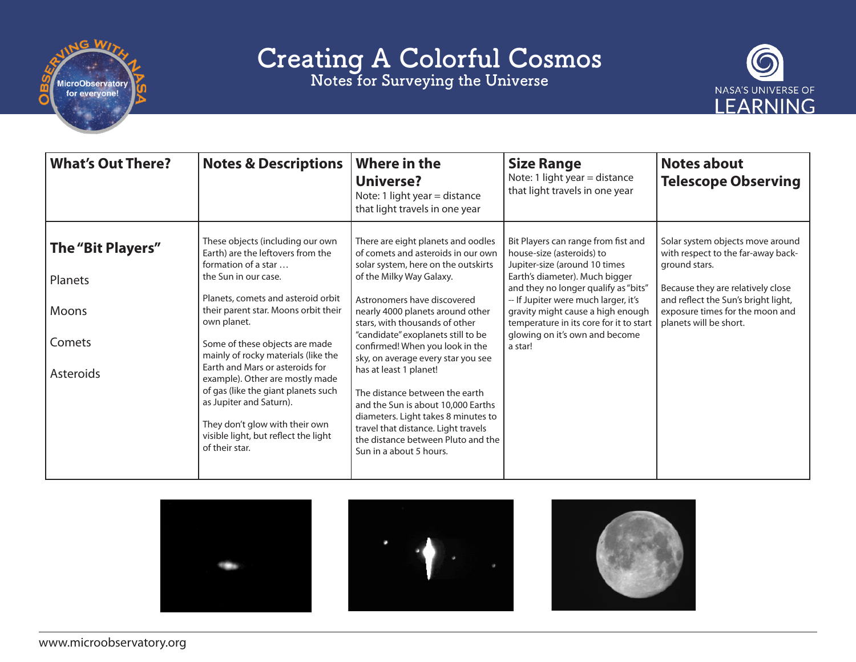

Notes for Surveying the Universe



| <b>What's Out There?</b>                                     | <b>Notes &amp; Descriptions</b>                                                                                                                                                                                                                                                                                                                                                                                                                                                                                                | <b>Where in the</b><br><b>Universe?</b><br>Note: 1 light year = distance<br>that light travels in one year                                                                                                                                                                                                                                                                                                                                                                                                                                                                                                       | <b>Size Range</b><br>Note: 1 light year = distance<br>that light travels in one year                                                                                                                                                                                                                                                             | <b>Notes about</b><br><b>Telescope Observing</b>                                                                                                                                                                                 |
|--------------------------------------------------------------|--------------------------------------------------------------------------------------------------------------------------------------------------------------------------------------------------------------------------------------------------------------------------------------------------------------------------------------------------------------------------------------------------------------------------------------------------------------------------------------------------------------------------------|------------------------------------------------------------------------------------------------------------------------------------------------------------------------------------------------------------------------------------------------------------------------------------------------------------------------------------------------------------------------------------------------------------------------------------------------------------------------------------------------------------------------------------------------------------------------------------------------------------------|--------------------------------------------------------------------------------------------------------------------------------------------------------------------------------------------------------------------------------------------------------------------------------------------------------------------------------------------------|----------------------------------------------------------------------------------------------------------------------------------------------------------------------------------------------------------------------------------|
| The "Bit Players"<br>Planets<br>Moons<br>Comets<br>Asteroids | These objects (including our own<br>Earth) are the leftovers from the<br>formation of a star<br>the Sun in our case.<br>Planets, comets and asteroid orbit<br>their parent star. Moons orbit their<br>own planet.<br>Some of these objects are made<br>mainly of rocky materials (like the<br>Earth and Mars or asteroids for<br>example). Other are mostly made<br>of gas (like the giant planets such<br>as Jupiter and Saturn).<br>They don't glow with their own<br>visible light, but reflect the light<br>of their star. | There are eight planets and oodles<br>of comets and asteroids in our own<br>solar system, here on the outskirts<br>of the Milky Way Galaxy.<br>Astronomers have discovered<br>nearly 4000 planets around other<br>stars, with thousands of other<br>"candidate" exoplanets still to be<br>confirmed! When you look in the<br>sky, on average every star you see<br>has at least 1 planet!<br>The distance between the earth<br>and the Sun is about 10,000 Earths<br>diameters. Light takes 8 minutes to<br>travel that distance. Light travels<br>the distance between Pluto and the<br>Sun in a about 5 hours. | Bit Players can range from fist and<br>house-size (asteroids) to<br>Jupiter-size (around 10 times<br>Earth's diameter). Much bigger<br>and they no longer qualify as "bits"<br>-- If Jupiter were much larger, it's<br>gravity might cause a high enough<br>temperature in its core for it to start<br>glowing on it's own and become<br>a star! | Solar system objects move around<br>with respect to the far-away back-<br>ground stars.<br>Because they are relatively close<br>and reflect the Sun's bright light,<br>exposure times for the moon and<br>planets will be short. |



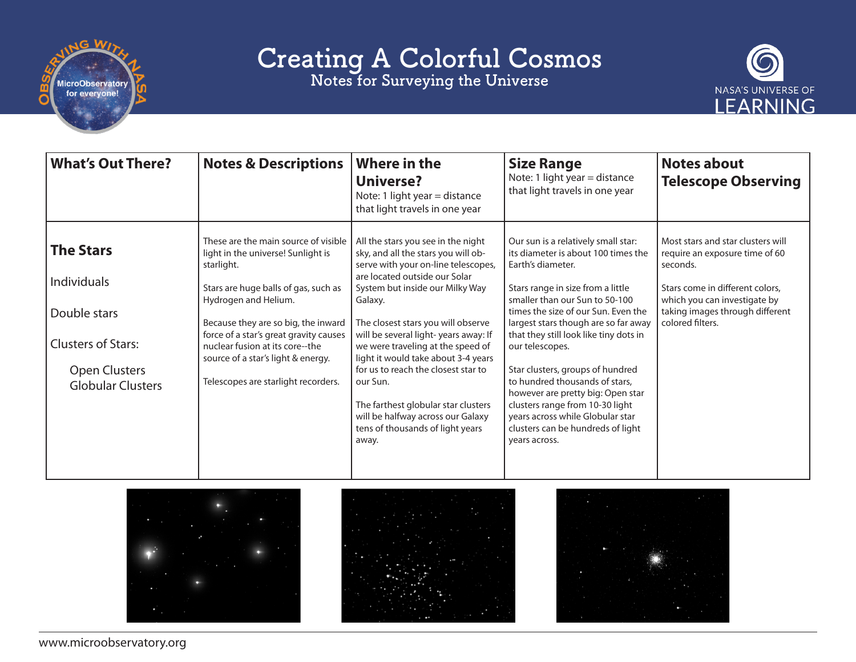

Notes for Surveying the Universe



| <b>What's Out There?</b>                                                                                                                | <b>Notes &amp; Descriptions</b>                                                                                                                                                                                                                                                                                                                           | <b>Where in the</b><br><b>Universe?</b><br>Note: 1 light year = distance<br>that light travels in one year                                                                                                                                                                                                                                                                                                                                                                                                                            | <b>Size Range</b><br>Note: 1 light year $=$ distance<br>that light travels in one year                                                                                                                                                                                                                                                                                                                                                                                                                                                                     | <b>Notes about</b><br><b>Telescope Observing</b>                                                                                                                                                          |
|-----------------------------------------------------------------------------------------------------------------------------------------|-----------------------------------------------------------------------------------------------------------------------------------------------------------------------------------------------------------------------------------------------------------------------------------------------------------------------------------------------------------|---------------------------------------------------------------------------------------------------------------------------------------------------------------------------------------------------------------------------------------------------------------------------------------------------------------------------------------------------------------------------------------------------------------------------------------------------------------------------------------------------------------------------------------|------------------------------------------------------------------------------------------------------------------------------------------------------------------------------------------------------------------------------------------------------------------------------------------------------------------------------------------------------------------------------------------------------------------------------------------------------------------------------------------------------------------------------------------------------------|-----------------------------------------------------------------------------------------------------------------------------------------------------------------------------------------------------------|
| <b>The Stars</b><br><b>Individuals</b><br>Double stars<br><b>Clusters of Stars:</b><br><b>Open Clusters</b><br><b>Globular Clusters</b> | These are the main source of visible<br>light in the universe! Sunlight is<br>starlight.<br>Stars are huge balls of gas, such as<br>Hydrogen and Helium.<br>Because they are so big, the inward<br>force of a star's great gravity causes<br>nuclear fusion at its core--the<br>source of a star's light & energy.<br>Telescopes are starlight recorders. | All the stars you see in the night<br>sky, and all the stars you will ob-<br>serve with your on-line telescopes,<br>are located outside our Solar<br>System but inside our Milky Way<br>Galaxy.<br>The closest stars you will observe<br>will be several light-years away: If<br>we were traveling at the speed of<br>light it would take about 3-4 years<br>for us to reach the closest star to<br>our Sun.<br>The farthest globular star clusters<br>will be halfway across our Galaxy<br>tens of thousands of light years<br>away. | Our sun is a relatively small star:<br>its diameter is about 100 times the<br>Earth's diameter.<br>Stars range in size from a little<br>smaller than our Sun to 50-100<br>times the size of our Sun. Even the<br>largest stars though are so far away<br>that they still look like tiny dots in<br>our telescopes.<br>Star clusters, groups of hundred<br>to hundred thousands of stars,<br>however are pretty big: Open star<br>clusters range from 10-30 light<br>years across while Globular star<br>clusters can be hundreds of light<br>years across. | Most stars and star clusters will<br>require an exposure time of 60<br>seconds.<br>Stars come in different colors.<br>which you can investigate by<br>taking images through different<br>colored filters. |



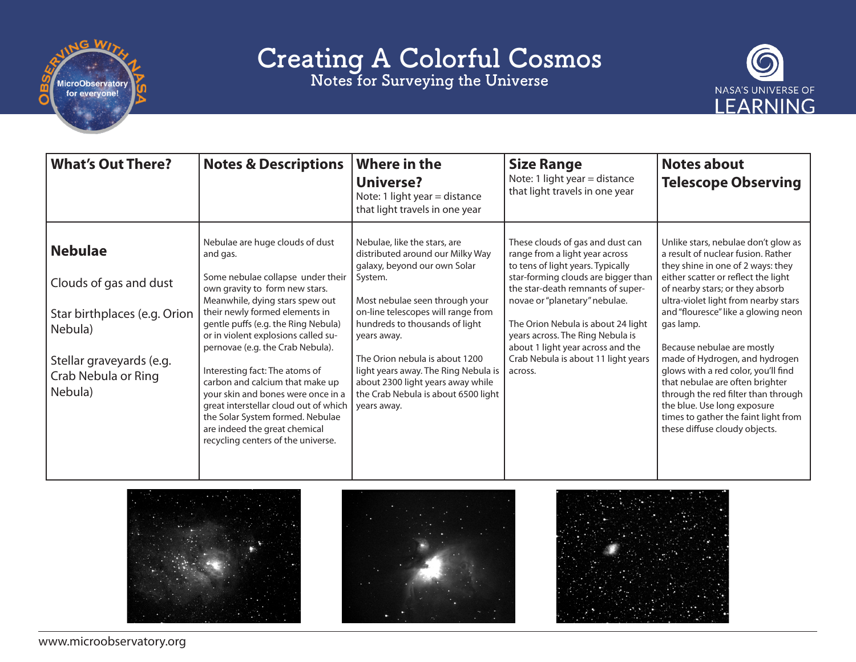

Notes for Surveying the Universe



| <b>What's Out There?</b>                                                                                                                          | <b>Notes &amp; Descriptions</b>                                                                                                                                                                                                                                                                                                                                                                                                                                                                                                                                          | <b>Where in the</b><br><b>Universe?</b><br>Note: 1 light year = distance<br>that light travels in one year                                                                                                                                                                                                                                                                                                | <b>Size Range</b><br>Note: 1 light year = distance<br>that light travels in one year                                                                                                                                                                                                                                                                                                  | <b>Notes about</b><br><b>Telescope Observing</b>                                                                                                                                                                                                                                                                                                                                                                                                                                                                                                                              |
|---------------------------------------------------------------------------------------------------------------------------------------------------|--------------------------------------------------------------------------------------------------------------------------------------------------------------------------------------------------------------------------------------------------------------------------------------------------------------------------------------------------------------------------------------------------------------------------------------------------------------------------------------------------------------------------------------------------------------------------|-----------------------------------------------------------------------------------------------------------------------------------------------------------------------------------------------------------------------------------------------------------------------------------------------------------------------------------------------------------------------------------------------------------|---------------------------------------------------------------------------------------------------------------------------------------------------------------------------------------------------------------------------------------------------------------------------------------------------------------------------------------------------------------------------------------|-------------------------------------------------------------------------------------------------------------------------------------------------------------------------------------------------------------------------------------------------------------------------------------------------------------------------------------------------------------------------------------------------------------------------------------------------------------------------------------------------------------------------------------------------------------------------------|
| <b>Nebulae</b><br>Clouds of gas and dust<br>Star birthplaces (e.g. Orion<br>Nebula)<br>Stellar graveyards (e.g.<br>Crab Nebula or Ring<br>Nebula) | Nebulae are huge clouds of dust<br>and gas.<br>Some nebulae collapse under their<br>own gravity to form new stars.<br>Meanwhile, dying stars spew out<br>their newly formed elements in<br>gentle puffs (e.g. the Ring Nebula)<br>or in violent explosions called su-<br>pernovae (e.g. the Crab Nebula).<br>Interesting fact: The atoms of<br>carbon and calcium that make up<br>your skin and bones were once in a<br>great interstellar cloud out of which<br>the Solar System formed. Nebulae<br>are indeed the great chemical<br>recycling centers of the universe. | Nebulae, like the stars, are<br>distributed around our Milky Way<br>galaxy, beyond our own Solar<br>System.<br>Most nebulae seen through your<br>on-line telescopes will range from<br>hundreds to thousands of light<br>years away.<br>The Orion nebula is about 1200<br>light years away. The Ring Nebula is<br>about 2300 light years away while<br>the Crab Nebula is about 6500 light<br>years away. | These clouds of gas and dust can<br>range from a light year across<br>to tens of light years. Typically<br>star-forming clouds are bigger than<br>the star-death remnants of super-<br>novae or "planetary" nebulae.<br>The Orion Nebula is about 24 light<br>years across. The Ring Nebula is<br>about 1 light year across and the<br>Crab Nebula is about 11 light years<br>across. | Unlike stars, nebulae don't glow as<br>a result of nuclear fusion. Rather<br>they shine in one of 2 ways: they<br>either scatter or reflect the light<br>of nearby stars; or they absorb<br>ultra-violet light from nearby stars<br>and "flouresce" like a glowing neon<br>gas lamp.<br>Because nebulae are mostly<br>made of Hydrogen, and hydrogen<br>glows with a red color, you'll find<br>that nebulae are often brighter<br>through the red filter than through<br>the blue. Use long exposure<br>times to gather the faint light from<br>these diffuse cloudy objects. |